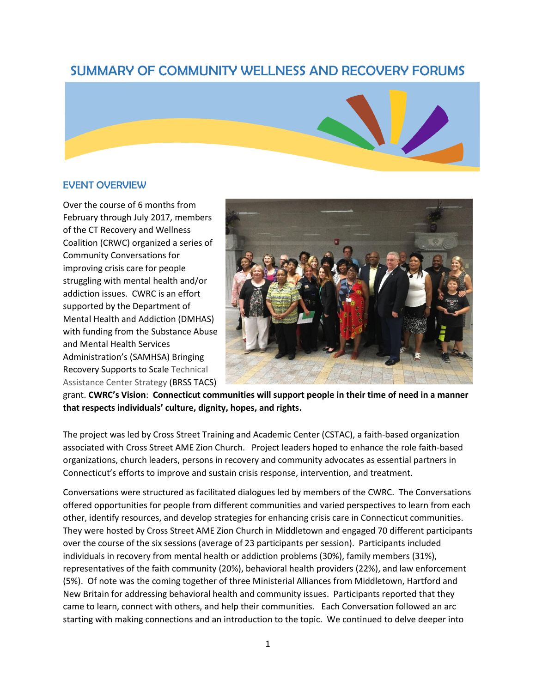# SUMMARY OF COMMUNITY WELLNESS AND RECOVERY FORUMS



## EVENT OVERVIEW

Over the course of 6 months from February through July 2017, members of the CT Recovery and Wellness Coalition (CRWC) organized a series of Community Conversations for improving crisis care for people struggling with mental health and/or addiction issues. CWRC is an effort supported by the Department of Mental Health and Addiction (DMHAS) with funding from the Substance Abuse and Mental Health Services Administration's (SAMHSA) Bringing Recovery Supports to Scale Technical Assistance Center Strategy (BRSS TACS)



grant. **CWRC's Vision**: **Connecticut communities will support people in their time of need in a manner that respects individuals' culture, dignity, hopes, and rights.**

The project was led by Cross Street Training and Academic Center (CSTAC), a faith-based organization associated with Cross Street AME Zion Church. Project leaders hoped to enhance the role faith-based organizations, church leaders, persons in recovery and community advocates as essential partners in Connecticut's efforts to improve and sustain crisis response, intervention, and treatment.

Conversations were structured as facilitated dialogues led by members of the CWRC. The Conversations offered opportunities for people from different communities and varied perspectives to learn from each other, identify resources, and develop strategies for enhancing crisis care in Connecticut communities. They were hosted by Cross Street AME Zion Church in Middletown and engaged 70 different participants over the course of the six sessions (average of 23 participants per session). Participants included individuals in recovery from mental health or addiction problems (30%), family members (31%), representatives of the faith community (20%), behavioral health providers (22%), and law enforcement (5%). Of note was the coming together of three Ministerial Alliances from Middletown, Hartford and New Britain for addressing behavioral health and community issues. Participants reported that they came to learn, connect with others, and help their communities. Each Conversation followed an arc starting with making connections and an introduction to the topic. We continued to delve deeper into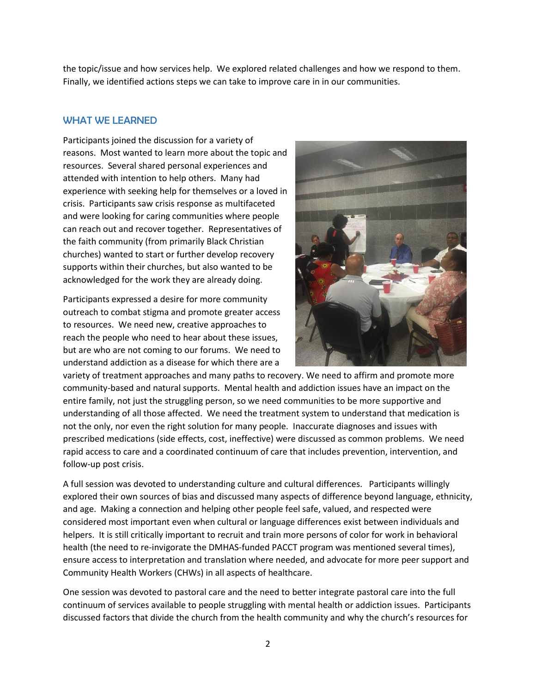the topic/issue and how services help. We explored related challenges and how we respond to them. Finally, we identified actions steps we can take to improve care in in our communities.

## WHAT WE LEARNED

Participants joined the discussion for a variety of reasons. Most wanted to learn more about the topic and resources. Several shared personal experiences and attended with intention to help others. Many had experience with seeking help for themselves or a loved in crisis. Participants saw crisis response as multifaceted and were looking for caring communities where people can reach out and recover together. Representatives of the faith community (from primarily Black Christian churches) wanted to start or further develop recovery supports within their churches, but also wanted to be acknowledged for the work they are already doing.

Participants expressed a desire for more community outreach to combat stigma and promote greater access to resources. We need new, creative approaches to reach the people who need to hear about these issues, but are who are not coming to our forums. We need to understand addiction as a disease for which there are a



variety of treatment approaches and many paths to recovery. We need to affirm and promote more community-based and natural supports. Mental health and addiction issues have an impact on the entire family, not just the struggling person, so we need communities to be more supportive and understanding of all those affected. We need the treatment system to understand that medication is not the only, nor even the right solution for many people. Inaccurate diagnoses and issues with prescribed medications (side effects, cost, ineffective) were discussed as common problems. We need rapid access to care and a coordinated continuum of care that includes prevention, intervention, and follow-up post crisis.

A full session was devoted to understanding culture and cultural differences. Participants willingly explored their own sources of bias and discussed many aspects of difference beyond language, ethnicity, and age. Making a connection and helping other people feel safe, valued, and respected were considered most important even when cultural or language differences exist between individuals and helpers. It is still critically important to recruit and train more persons of color for work in behavioral health (the need to re-invigorate the DMHAS-funded PACCT program was mentioned several times), ensure access to interpretation and translation where needed, and advocate for more peer support and Community Health Workers (CHWs) in all aspects of healthcare.

One session was devoted to pastoral care and the need to better integrate pastoral care into the full continuum of services available to people struggling with mental health or addiction issues. Participants discussed factors that divide the church from the health community and why the church's resources for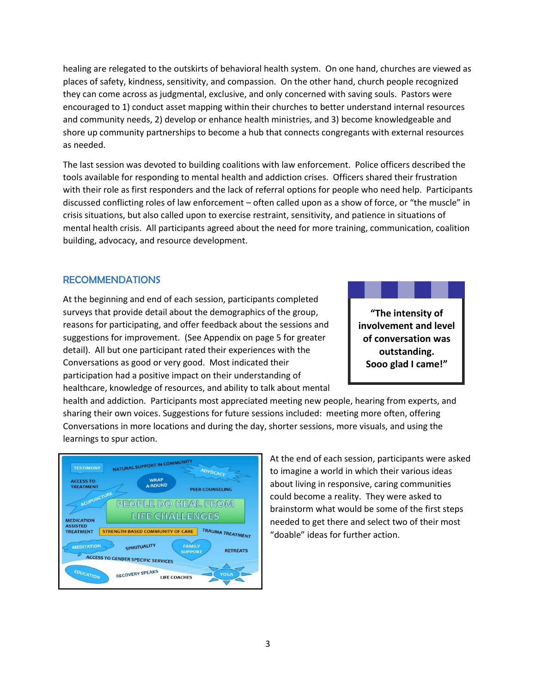healing are relegated to the outskirts of behavioral health system. On one hand, churches are viewed as places of safety, kindness, sensitivity, and compassion. On the other hand, church people recognized they can come across as judgmental, exclusive, and only concerned with saving souls. Pastors were encouraged to 1) conduct asset mapping within their churches to better understand internal resources and community needs, 2) develop or enhance health ministries, and 3) become knowledgeable and shore up community partnerships to become a hub that connects congregants with external resources as needed.

The last session was devoted to building coalitions with law enforcement. Police officers described the tools available for responding to mental health and addiction crises. Officers shared their frustration with their role as first responders and the lack of referral options for people who need help. Participants discussed conflicting roles of law enforcement – often called upon as a show of force, or "the muscle" in crisis situations, but also called upon to exercise restraint, sensitivity, and patience in situations of mental health crisis. All participants agreed about the need for more training, communication, coalition building, advocacy, and resource development.

### RECOMMENDATIONS

At the beginning and end of each session, participants completed surveys that provide detail about the demographics of the group, reasons for participating, and offer feedback about the sessions and suggestions for improvement. (See Appendix on page 5 for greater detail). All but one participant rated their experiences with the Conversations as good or very good. Most indicated their participation had a positive impact on their understanding of healthcare, knowledge of resources, and ability to talk about mental

**"The intensity of involvement and level of conversation was outstanding. Sooo glad I came!"**

health and addiction. Participants most appreciated meeting new people, hearing from experts, and sharing their own voices. Suggestions for future sessions included: meeting more often, offering Conversations in more locations and during the day, shorter sessions, more visuals, and using the learnings to spur action.



At the end of each session, participants were asked to imagine a world in which their various ideas about living in responsive, caring communities could become a reality. They were asked to brainstorm what would be some of the first steps needed to get there and select two of their most "doable" ideas for further action.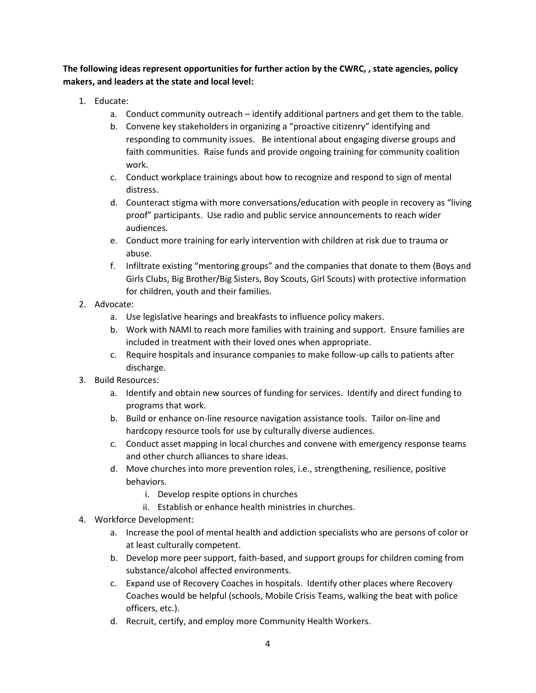**The following ideas represent opportunities for further action by the CWRC, , state agencies, policy makers, and leaders at the state and local level:**

- 1. Educate:
	- a. Conduct community outreach identify additional partners and get them to the table.
	- b. Convene key stakeholders in organizing a "proactive citizenry" identifying and responding to community issues. Be intentional about engaging diverse groups and faith communities. Raise funds and provide ongoing training for community coalition work.
	- c. Conduct workplace trainings about how to recognize and respond to sign of mental distress.
	- d. Counteract stigma with more conversations/education with people in recovery as "living proof" participants. Use radio and public service announcements to reach wider audiences.
	- e. Conduct more training for early intervention with children at risk due to trauma or abuse.
	- f. Infiltrate existing "mentoring groups" and the companies that donate to them (Boys and Girls Clubs, Big Brother/Big Sisters, Boy Scouts, Girl Scouts) with protective information for children, youth and their families.
- 2. Advocate:
	- a. Use legislative hearings and breakfasts to influence policy makers.
	- b. Work with NAMI to reach more families with training and support. Ensure families are included in treatment with their loved ones when appropriate.
	- c. Require hospitals and insurance companies to make follow-up calls to patients after discharge.
- 3. Build Resources:
	- a. Identify and obtain new sources of funding for services. Identify and direct funding to programs that work.
	- b. Build or enhance on-line resource navigation assistance tools. Tailor on-line and hardcopy resource tools for use by culturally diverse audiences.
	- c. Conduct asset mapping in local churches and convene with emergency response teams and other church alliances to share ideas.
	- d. Move churches into more prevention roles, i.e., strengthening, resilience, positive behaviors.
		- i. Develop respite options in churches
		- ii. Establish or enhance health ministries in churches.
- 4. Workforce Development:
	- a. Increase the pool of mental health and addiction specialists who are persons of color or at least culturally competent.
	- b. Develop more peer support, faith-based, and support groups for children coming from substance/alcohol affected environments.
	- c. Expand use of Recovery Coaches in hospitals. Identify other places where Recovery Coaches would be helpful (schools, Mobile Crisis Teams, walking the beat with police officers, etc.).
	- d. Recruit, certify, and employ more Community Health Workers.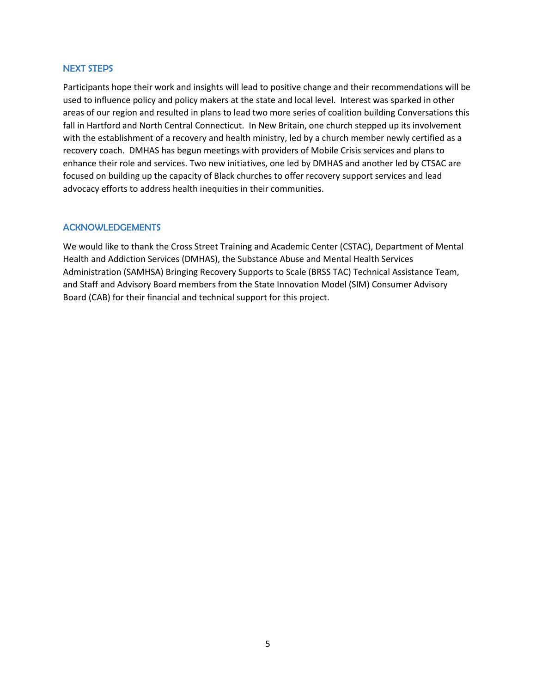#### NEXT STEPS

Participants hope their work and insights will lead to positive change and their recommendations will be used to influence policy and policy makers at the state and local level. Interest was sparked in other areas of our region and resulted in plans to lead two more series of coalition building Conversations this fall in Hartford and North Central Connecticut. In New Britain, one church stepped up its involvement with the establishment of a recovery and health ministry, led by a church member newly certified as a recovery coach. DMHAS has begun meetings with providers of Mobile Crisis services and plans to enhance their role and services. Two new initiatives, one led by DMHAS and another led by CTSAC are focused on building up the capacity of Black churches to offer recovery support services and lead advocacy efforts to address health inequities in their communities.

#### ACKNOWLEDGEMENTS

We would like to thank the Cross Street Training and Academic Center (CSTAC), Department of Mental Health and Addiction Services (DMHAS), the Substance Abuse and Mental Health Services Administration (SAMHSA) Bringing Recovery Supports to Scale (BRSS TAC) Technical Assistance Team, and Staff and Advisory Board members from the State Innovation Model (SIM) Consumer Advisory Board (CAB) for their financial and technical support for this project.